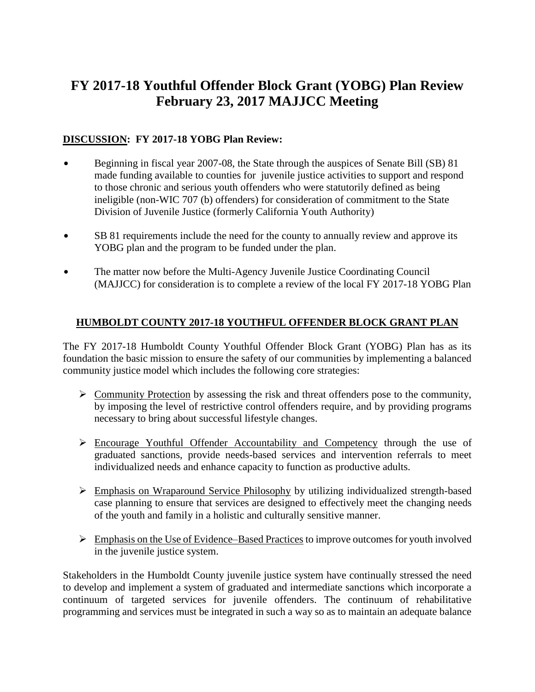## **FY 2017-18 Youthful Offender Block Grant (YOBG) Plan Review February 23, 2017 MAJJCC Meeting**

## **DISCUSSION: FY 2017-18 YOBG Plan Review:**

- Beginning in fiscal year 2007-08, the State through the auspices of Senate Bill (SB) 81 made funding available to counties for juvenile justice activities to support and respond to those chronic and serious youth offenders who were statutorily defined as being ineligible (non-WIC 707 (b) offenders) for consideration of commitment to the State Division of Juvenile Justice (formerly California Youth Authority)
- SB 81 requirements include the need for the county to annually review and approve its YOBG plan and the program to be funded under the plan.
- The matter now before the Multi-Agency Juvenile Justice Coordinating Council (MAJJCC) for consideration is to complete a review of the local FY 2017-18 YOBG Plan

## **HUMBOLDT COUNTY 2017-18 YOUTHFUL OFFENDER BLOCK GRANT PLAN**

The FY 2017-18 Humboldt County Youthful Offender Block Grant (YOBG) Plan has as its foundation the basic mission to ensure the safety of our communities by implementing a balanced community justice model which includes the following core strategies:

- $\triangleright$  Community Protection by assessing the risk and threat offenders pose to the community, by imposing the level of restrictive control offenders require, and by providing programs necessary to bring about successful lifestyle changes.
- Encourage Youthful Offender Accountability and Competency through the use of graduated sanctions, provide needs-based services and intervention referrals to meet individualized needs and enhance capacity to function as productive adults.
- Emphasis on Wraparound Service Philosophy by utilizing individualized strength-based case planning to ensure that services are designed to effectively meet the changing needs of the youth and family in a holistic and culturally sensitive manner.
- Emphasis on the Use of Evidence–Based Practices to improve outcomes for youth involved in the juvenile justice system.

Stakeholders in the Humboldt County juvenile justice system have continually stressed the need to develop and implement a system of graduated and intermediate sanctions which incorporate a continuum of targeted services for juvenile offenders. The continuum of rehabilitative programming and services must be integrated in such a way so as to maintain an adequate balance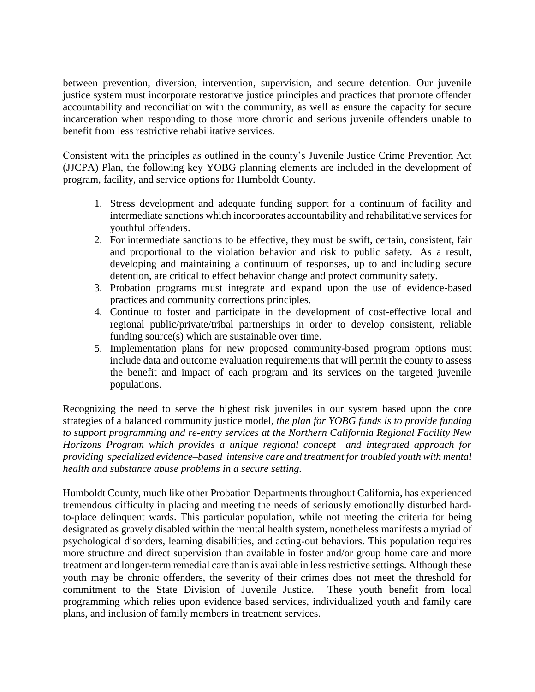between prevention, diversion, intervention, supervision, and secure detention. Our juvenile justice system must incorporate restorative justice principles and practices that promote offender accountability and reconciliation with the community, as well as ensure the capacity for secure incarceration when responding to those more chronic and serious juvenile offenders unable to benefit from less restrictive rehabilitative services.

Consistent with the principles as outlined in the county's Juvenile Justice Crime Prevention Act (JJCPA) Plan, the following key YOBG planning elements are included in the development of program, facility, and service options for Humboldt County.

- 1. Stress development and adequate funding support for a continuum of facility and intermediate sanctions which incorporates accountability and rehabilitative services for youthful offenders.
- 2. For intermediate sanctions to be effective, they must be swift, certain, consistent, fair and proportional to the violation behavior and risk to public safety. As a result, developing and maintaining a continuum of responses, up to and including secure detention, are critical to effect behavior change and protect community safety.
- 3. Probation programs must integrate and expand upon the use of evidence-based practices and community corrections principles.
- 4. Continue to foster and participate in the development of cost-effective local and regional public/private/tribal partnerships in order to develop consistent, reliable funding source(s) which are sustainable over time.
- 5. Implementation plans for new proposed community-based program options must include data and outcome evaluation requirements that will permit the county to assess the benefit and impact of each program and its services on the targeted juvenile populations.

Recognizing the need to serve the highest risk juveniles in our system based upon the core strategies of a balanced community justice model, *the plan for YOBG funds is to provide funding to support programming and re-entry services at the Northern California Regional Facility New Horizons Program which provides a unique regional concept and integrated approach for providing specialized evidence–based intensive care and treatment for troubled youth with mental health and substance abuse problems in a secure setting.*

Humboldt County, much like other Probation Departments throughout California, has experienced tremendous difficulty in placing and meeting the needs of seriously emotionally disturbed hardto-place delinquent wards. This particular population, while not meeting the criteria for being designated as gravely disabled within the mental health system, nonetheless manifests a myriad of psychological disorders, learning disabilities, and acting-out behaviors. This population requires more structure and direct supervision than available in foster and/or group home care and more treatment and longer-term remedial care than is available in less restrictive settings. Although these youth may be chronic offenders, the severity of their crimes does not meet the threshold for commitment to the State Division of Juvenile Justice. These youth benefit from local programming which relies upon evidence based services, individualized youth and family care plans, and inclusion of family members in treatment services.